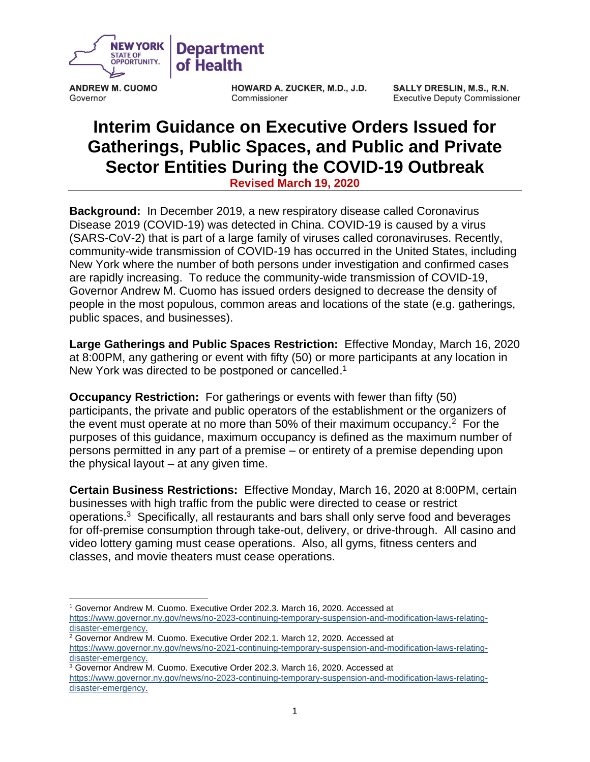

HOWARD A. ZUCKER, M.D., J.D. Commissioner

SALLY DRESLIN, M.S., R.N. **Executive Deputy Commissioner** 

## **Interim Guidance on Executive Orders Issued for Gatherings, Public Spaces, and Public and Private Sector Entities During the COVID-19 Outbreak**

**Revised March 19, 2020**

**Background:** In December 2019, a new respiratory disease called Coronavirus Disease 2019 (COVID-19) was detected in China. COVID-19 is caused by a virus (SARS-CoV-2) that is part of a large family of viruses called coronaviruses. Recently, community-wide transmission of COVID-19 has occurred in the United States, including New York where the number of both persons under investigation and confirmed cases are rapidly increasing. To reduce the community-wide transmission of COVID-19, Governor Andrew M. Cuomo has issued orders designed to decrease the density of people in the most populous, common areas and locations of the state (e.g. gatherings, public spaces, and businesses).

**Large Gatherings and Public Spaces Restriction:** Effective Monday, March 16, 2020 at 8:00PM, any gathering or event with fifty (50) or more participants at any location in New York was directed to be postponed or cancelled.<sup>1</sup>

**Occupancy Restriction:** For gatherings or events with fewer than fifty (50) participants, the private and public operators of the establishment or the organizers of the event must operate at no more than 50% of their maximum occupancy.<sup>2</sup> For the purposes of this guidance, maximum occupancy is defined as the maximum number of persons permitted in any part of a premise – or entirety of a premise depending upon the physical layout – at any given time.

**Certain Business Restrictions:** Effective Monday, March 16, 2020 at 8:00PM, certain businesses with high traffic from the public were directed to cease or restrict operations. 3 Specifically, all restaurants and bars shall only serve food and beverages for off-premise consumption through take-out, delivery, or drive-through. All casino and video lottery gaming must cease operations. Also, all gyms, fitness centers and classes, and movie theaters must cease operations.

<sup>1</sup> Governor Andrew M. Cuomo. Executive Order 202.3. March 16, 2020. Accessed at [https://www.governor.ny.gov/news/no-2023-continuing-temporary-suspension-and-modification-laws-relating-](https://www.governor.ny.gov/news/no-2023-continuing-temporary-suspension-and-modification-laws-relating-disaster-emergency)

<sup>2</sup> Governor Andrew M. Cuomo. Executive Order 202.1. March 12, 2020. Accessed at

[https://www.governor.ny.gov/news/no-2021-continuing-temporary-suspension-and-modification-laws-relating](https://www.governor.ny.gov/news/no-2021-continuing-temporary-suspension-and-modification-laws-relating-disaster-emergency)[disaster-emergency.](https://www.governor.ny.gov/news/no-2021-continuing-temporary-suspension-and-modification-laws-relating-disaster-emergency)

<sup>3</sup> Governor Andrew M. Cuomo. Executive Order 202.3. March 16, 2020. Accessed at

[https://www.governor.ny.gov/news/no-2023-continuing-temporary-suspension-and-modification-laws-relating](https://www.governor.ny.gov/news/no-2023-continuing-temporary-suspension-and-modification-laws-relating-disaster-emergency)[disaster-emergency.](https://www.governor.ny.gov/news/no-2023-continuing-temporary-suspension-and-modification-laws-relating-disaster-emergency)

[disaster-emergency.](https://www.governor.ny.gov/news/no-2023-continuing-temporary-suspension-and-modification-laws-relating-disaster-emergency)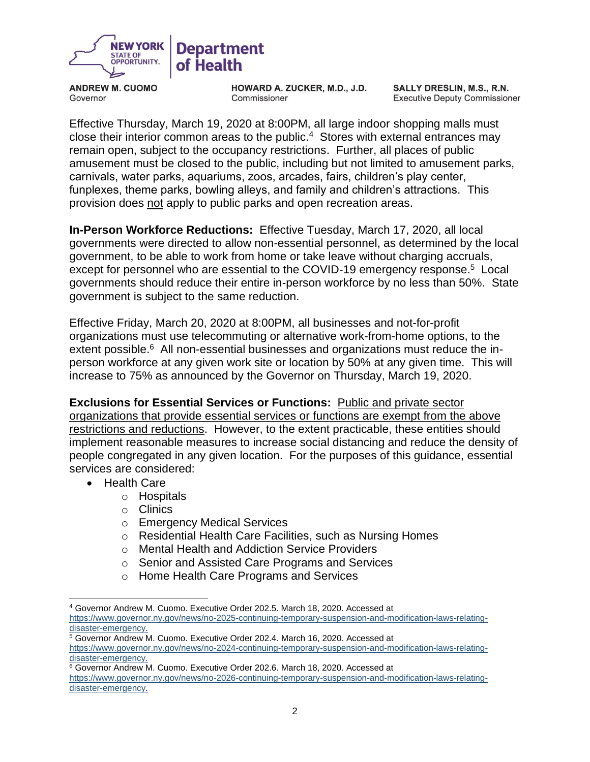

HOWARD A. ZUCKER, M.D., J.D. Commissioner

SALLY DRESLIN, M.S., R.N. **Executive Deputy Commissioner** 

Effective Thursday, March 19, 2020 at 8:00PM, all large indoor shopping malls must close their interior common areas to the public.<sup>4</sup> Stores with external entrances may remain open, subject to the occupancy restrictions. Further, all places of public amusement must be closed to the public, including but not limited to amusement parks, carnivals, water parks, aquariums, zoos, arcades, fairs, children's play center, funplexes, theme parks, bowling alleys, and family and children's attractions. This provision does not apply to public parks and open recreation areas.

**In-Person Workforce Reductions:** Effective Tuesday, March 17, 2020, all local governments were directed to allow non-essential personnel, as determined by the local government, to be able to work from home or take leave without charging accruals, except for personnel who are essential to the COVID-19 emergency response.<sup>5</sup> Local governments should reduce their entire in-person workforce by no less than 50%. State government is subject to the same reduction.

Effective Friday, March 20, 2020 at 8:00PM, all businesses and not-for-profit organizations must use telecommuting or alternative work-from-home options, to the extent possible.<sup>6</sup> All non-essential businesses and organizations must reduce the inperson workforce at any given work site or location by 50% at any given time. This will increase to 75% as announced by the Governor on Thursday, March 19, 2020.

**Exclusions for Essential Services or Functions:** Public and private sector organizations that provide essential services or functions are exempt from the above restrictions and reductions. However, to the extent practicable, these entities should implement reasonable measures to increase social distancing and reduce the density of people congregated in any given location. For the purposes of this guidance, essential services are considered:

- Health Care
	- o Hospitals
	- o Clinics
	- o Emergency Medical Services
	- o Residential Health Care Facilities, such as Nursing Homes
	- o Mental Health and Addiction Service Providers
	- o Senior and Assisted Care Programs and Services
	- o Home Health Care Programs and Services

<sup>4</sup> Governor Andrew M. Cuomo. Executive Order 202.5. March 18, 2020. Accessed at [https://www.governor.ny.gov/news/no-2025-continuing-temporary-suspension-and-modification-laws-relating](https://www.governor.ny.gov/news/no-2025-continuing-temporary-suspension-and-modification-laws-relating-disaster-emergency)[disaster-emergency.](https://www.governor.ny.gov/news/no-2025-continuing-temporary-suspension-and-modification-laws-relating-disaster-emergency)

<sup>5</sup> Governor Andrew M. Cuomo. Executive Order 202.4. March 16, 2020. Accessed at [https://www.governor.ny.gov/news/no-2024-continuing-temporary-suspension-and-modification-laws-relating](https://www.governor.ny.gov/news/no-2024-continuing-temporary-suspension-and-modification-laws-relating-disaster-emergency)[disaster-emergency.](https://www.governor.ny.gov/news/no-2024-continuing-temporary-suspension-and-modification-laws-relating-disaster-emergency)

<sup>6</sup> Governor Andrew M. Cuomo. Executive Order 202.6. March 18, 2020. Accessed at

[https://www.governor.ny.gov/news/no-2026-continuing-temporary-suspension-and-modification-laws-relating](https://www.governor.ny.gov/news/no-2026-continuing-temporary-suspension-and-modification-laws-relating-disaster-emergency)[disaster-emergency.](https://www.governor.ny.gov/news/no-2026-continuing-temporary-suspension-and-modification-laws-relating-disaster-emergency)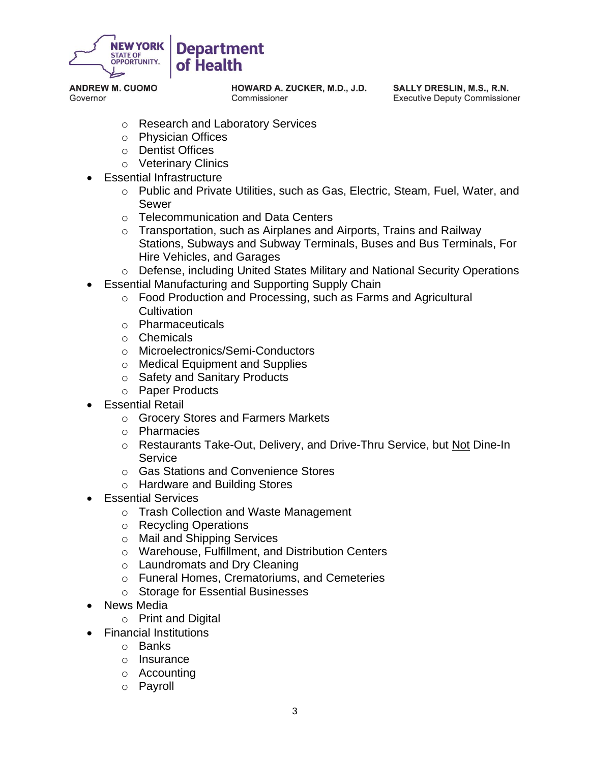

**HOWARD A. ZUCKER, M.D., J.D.** Commissioner

SALLY DRESLIN, M.S., R.N. **Executive Deputy Commissioner** 

- o Research and Laboratory Services
- o Physician Offices
- o Dentist Offices
- o Veterinary Clinics
- Essential Infrastructure
	- o Public and Private Utilities, such as Gas, Electric, Steam, Fuel, Water, and Sewer
	- o Telecommunication and Data Centers
	- o Transportation, such as Airplanes and Airports, Trains and Railway Stations, Subways and Subway Terminals, Buses and Bus Terminals, For Hire Vehicles, and Garages
	- o Defense, including United States Military and National Security Operations
- Essential Manufacturing and Supporting Supply Chain
	- o Food Production and Processing, such as Farms and Agricultural **Cultivation**
	- o Pharmaceuticals
	- o Chemicals
	- o Microelectronics/Semi-Conductors
	- o Medical Equipment and Supplies
	- o Safety and Sanitary Products
	- o Paper Products
- Essential Retail
	- o Grocery Stores and Farmers Markets
	- o Pharmacies
	- o Restaurants Take-Out, Delivery, and Drive-Thru Service, but Not Dine-In **Service**
	- o Gas Stations and Convenience Stores
	- o Hardware and Building Stores
- Essential Services
	- o Trash Collection and Waste Management
	- o Recycling Operations
	- o Mail and Shipping Services
	- o Warehouse, Fulfillment, and Distribution Centers
	- o Laundromats and Dry Cleaning
	- o Funeral Homes, Crematoriums, and Cemeteries
	- o Storage for Essential Businesses
- News Media
	- o Print and Digital
- Financial Institutions
	- o Banks
	- o Insurance
	- o Accounting
	- o Payroll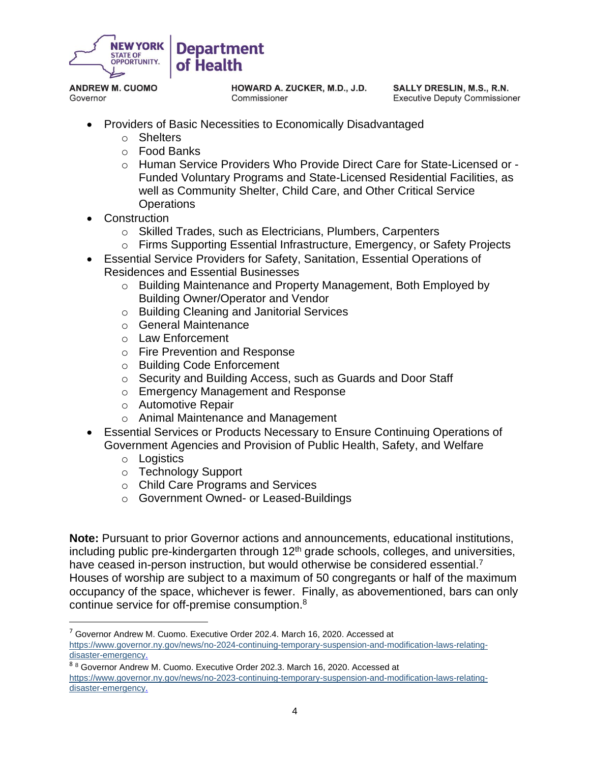

**HOWARD A. ZUCKER, M.D., J.D.** Commissioner

SALLY DRESLIN, M.S., R.N. **Executive Deputy Commissioner** 

- Providers of Basic Necessities to Economically Disadvantaged
	- o Shelters
	- o Food Banks
	- o Human Service Providers Who Provide Direct Care for State-Licensed or Funded Voluntary Programs and State-Licensed Residential Facilities, as well as Community Shelter, Child Care, and Other Critical Service **Operations**
- **Construction** 
	- o Skilled Trades, such as Electricians, Plumbers, Carpenters
	- o Firms Supporting Essential Infrastructure, Emergency, or Safety Projects
- Essential Service Providers for Safety, Sanitation, Essential Operations of Residences and Essential Businesses
	- o Building Maintenance and Property Management, Both Employed by Building Owner/Operator and Vendor
	- o Building Cleaning and Janitorial Services
	- o General Maintenance
	- o Law Enforcement
	- o Fire Prevention and Response
	- o Building Code Enforcement
	- o Security and Building Access, such as Guards and Door Staff
	- o Emergency Management and Response
	- o Automotive Repair
	- o Animal Maintenance and Management
- Essential Services or Products Necessary to Ensure Continuing Operations of Government Agencies and Provision of Public Health, Safety, and Welfare
	- o Logistics
	- o Technology Support
	- o Child Care Programs and Services
	- o Government Owned- or Leased-Buildings

**Note:** Pursuant to prior Governor actions and announcements, educational institutions, including public pre-kindergarten through  $12<sup>th</sup>$  grade schools, colleges, and universities. have ceased in-person instruction, but would otherwise be considered essential.<sup>7</sup> Houses of worship are subject to a maximum of 50 congregants or half of the maximum occupancy of the space, whichever is fewer. Finally, as abovementioned, bars can only continue service for off-premise consumption.<sup>8</sup>

 $7$  Governor Andrew M. Cuomo. Executive Order 202.4. March 16, 2020. Accessed at [https://www.governor.ny.gov/news/no-2024-continuing-temporary-suspension-and-modification-laws-relating](https://www.governor.ny.gov/news/no-2024-continuing-temporary-suspension-and-modification-laws-relating-disaster-emergency)[disaster-emergency.](https://www.governor.ny.gov/news/no-2024-continuing-temporary-suspension-and-modification-laws-relating-disaster-emergency)

<sup>8</sup> <sup>8</sup> Governor Andrew M. Cuomo. Executive Order 202.3. March 16, 2020. Accessed at [https://www.governor.ny.gov/news/no-2023-continuing-temporary-suspension-and-modification-laws-relating](https://www.governor.ny.gov/news/no-2023-continuing-temporary-suspension-and-modification-laws-relating-disaster-emergency)[disaster-emergency.](https://www.governor.ny.gov/news/no-2023-continuing-temporary-suspension-and-modification-laws-relating-disaster-emergency)